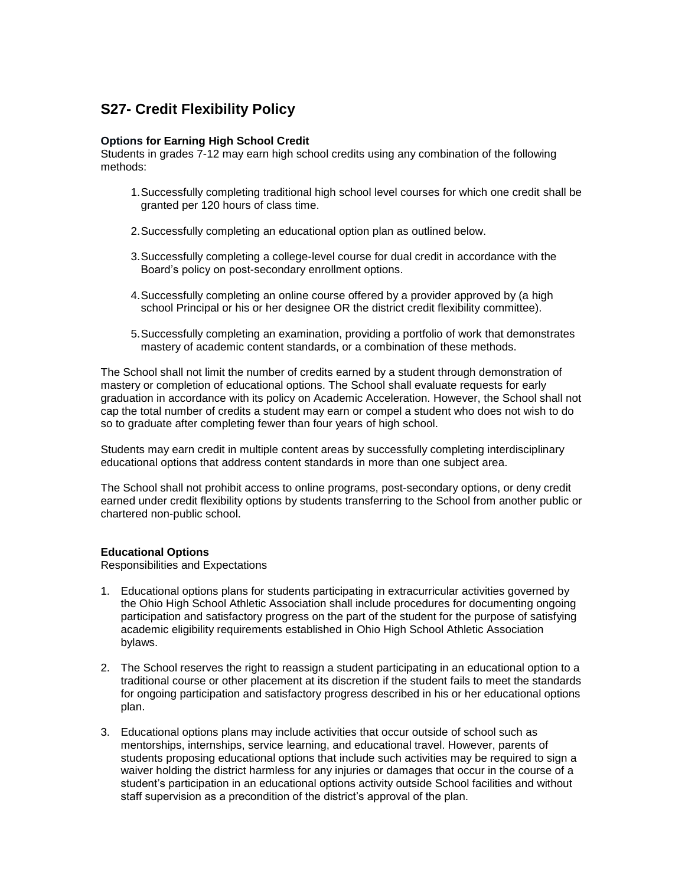# **S27- Credit Flexibility Policy**

## **Options for Earning High School Credit**

Students in grades 7-12 may earn high school credits using any combination of the following methods:

- 1.Successfully completing traditional high school level courses for which one credit shall be granted per 120 hours of class time.
- 2.Successfully completing an educational option plan as outlined below.
- 3.Successfully completing a college-level course for dual credit in accordance with the Board's policy on post-secondary enrollment options.
- 4.Successfully completing an online course offered by a provider approved by (a high school Principal or his or her designee OR the district credit flexibility committee).
- 5.Successfully completing an examination, providing a portfolio of work that demonstrates mastery of academic content standards, or a combination of these methods.

The School shall not limit the number of credits earned by a student through demonstration of mastery or completion of educational options. The School shall evaluate requests for early graduation in accordance with its policy on Academic Acceleration. However, the School shall not cap the total number of credits a student may earn or compel a student who does not wish to do so to graduate after completing fewer than four years of high school.

Students may earn credit in multiple content areas by successfully completing interdisciplinary educational options that address content standards in more than one subject area.

The School shall not prohibit access to online programs, post-secondary options, or deny credit earned under credit flexibility options by students transferring to the School from another public or chartered non-public school.

### **Educational Options**

Responsibilities and Expectations

- 1. Educational options plans for students participating in extracurricular activities governed by the Ohio High School Athletic Association shall include procedures for documenting ongoing participation and satisfactory progress on the part of the student for the purpose of satisfying academic eligibility requirements established in Ohio High School Athletic Association bylaws.
- 2. The School reserves the right to reassign a student participating in an educational option to a traditional course or other placement at its discretion if the student fails to meet the standards for ongoing participation and satisfactory progress described in his or her educational options plan.
- 3. Educational options plans may include activities that occur outside of school such as mentorships, internships, service learning, and educational travel. However, parents of students proposing educational options that include such activities may be required to sign a waiver holding the district harmless for any injuries or damages that occur in the course of a student's participation in an educational options activity outside School facilities and without staff supervision as a precondition of the district's approval of the plan.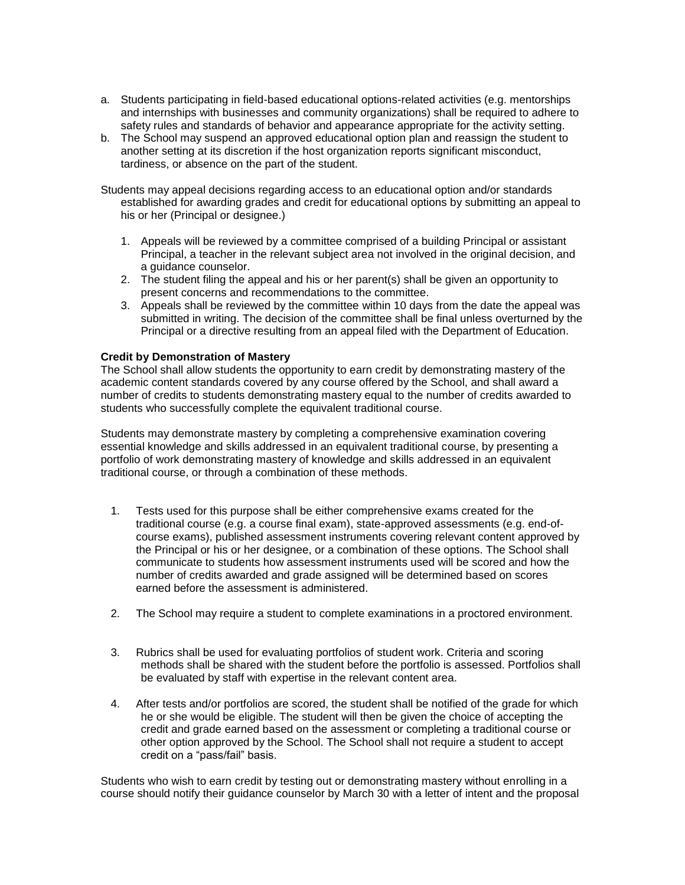- a. Students participating in field-based educational options-related activities (e.g. mentorships and internships with businesses and community organizations) shall be required to adhere to safety rules and standards of behavior and appearance appropriate for the activity setting.
- b. The School may suspend an approved educational option plan and reassign the student to another setting at its discretion if the host organization reports significant misconduct, tardiness, or absence on the part of the student.
- Students may appeal decisions regarding access to an educational option and/or standards established for awarding grades and credit for educational options by submitting an appeal to his or her (Principal or designee.)
	- 1. Appeals will be reviewed by a committee comprised of a building Principal or assistant Principal, a teacher in the relevant subject area not involved in the original decision, and a guidance counselor.
	- 2. The student filing the appeal and his or her parent(s) shall be given an opportunity to present concerns and recommendations to the committee.
	- 3. Appeals shall be reviewed by the committee within 10 days from the date the appeal was submitted in writing. The decision of the committee shall be final unless overturned by the Principal or a directive resulting from an appeal filed with the Department of Education.

### **Credit by Demonstration of Mastery**

The School shall allow students the opportunity to earn credit by demonstrating mastery of the academic content standards covered by any course offered by the School, and shall award a number of credits to students demonstrating mastery equal to the number of credits awarded to students who successfully complete the equivalent traditional course.

Students may demonstrate mastery by completing a comprehensive examination covering essential knowledge and skills addressed in an equivalent traditional course, by presenting a portfolio of work demonstrating mastery of knowledge and skills addressed in an equivalent traditional course, or through a combination of these methods.

- 1. Tests used for this purpose shall be either comprehensive exams created for the traditional course (e.g. a course final exam), state-approved assessments (e.g. end-ofcourse exams), published assessment instruments covering relevant content approved by the Principal or his or her designee, or a combination of these options. The School shall communicate to students how assessment instruments used will be scored and how the number of credits awarded and grade assigned will be determined based on scores earned before the assessment is administered.
- 2. The School may require a student to complete examinations in a proctored environment.
- 3. Rubrics shall be used for evaluating portfolios of student work. Criteria and scoring methods shall be shared with the student before the portfolio is assessed. Portfolios shall be evaluated by staff with expertise in the relevant content area.
- 4. After tests and/or portfolios are scored, the student shall be notified of the grade for which he or she would be eligible. The student will then be given the choice of accepting the credit and grade earned based on the assessment or completing a traditional course or other option approved by the School. The School shall not require a student to accept credit on a "pass/fail" basis.

Students who wish to earn credit by testing out or demonstrating mastery without enrolling in a course should notify their guidance counselor by March 30 with a letter of intent and the proposal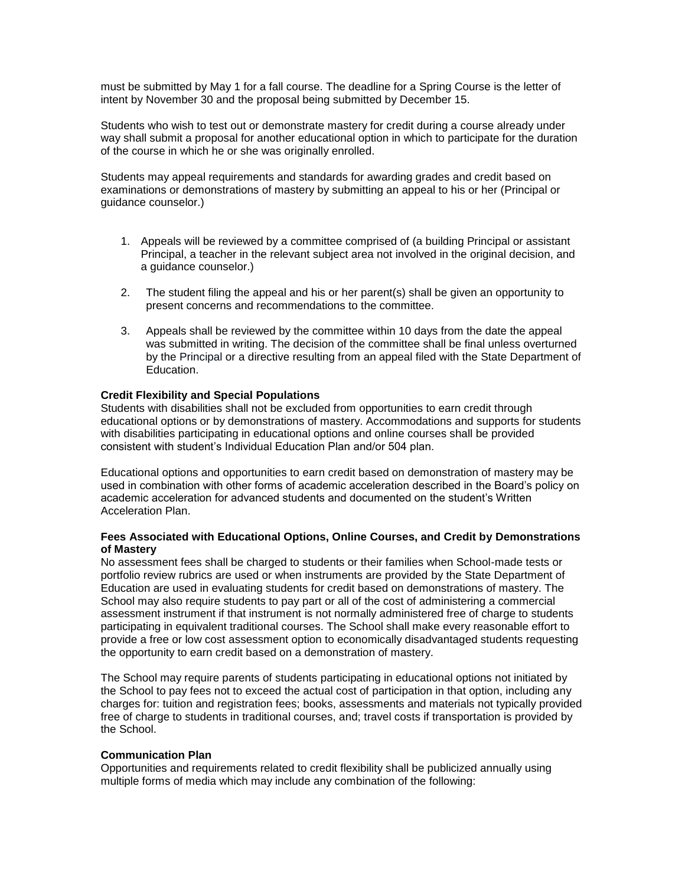must be submitted by May 1 for a fall course. The deadline for a Spring Course is the letter of intent by November 30 and the proposal being submitted by December 15.

Students who wish to test out or demonstrate mastery for credit during a course already under way shall submit a proposal for another educational option in which to participate for the duration of the course in which he or she was originally enrolled.

Students may appeal requirements and standards for awarding grades and credit based on examinations or demonstrations of mastery by submitting an appeal to his or her (Principal or guidance counselor.)

- 1. Appeals will be reviewed by a committee comprised of (a building Principal or assistant Principal, a teacher in the relevant subject area not involved in the original decision, and a guidance counselor.)
- 2. The student filing the appeal and his or her parent(s) shall be given an opportunity to present concerns and recommendations to the committee.
- 3. Appeals shall be reviewed by the committee within 10 days from the date the appeal was submitted in writing. The decision of the committee shall be final unless overturned by the Principal or a directive resulting from an appeal filed with the State Department of Education.

### **Credit Flexibility and Special Populations**

Students with disabilities shall not be excluded from opportunities to earn credit through educational options or by demonstrations of mastery. Accommodations and supports for students with disabilities participating in educational options and online courses shall be provided consistent with student's Individual Education Plan and/or 504 plan.

Educational options and opportunities to earn credit based on demonstration of mastery may be used in combination with other forms of academic acceleration described in the Board's policy on academic acceleration for advanced students and documented on the student's Written Acceleration Plan.

### **Fees Associated with Educational Options, Online Courses, and Credit by Demonstrations of Mastery**

No assessment fees shall be charged to students or their families when School-made tests or portfolio review rubrics are used or when instruments are provided by the State Department of Education are used in evaluating students for credit based on demonstrations of mastery. The School may also require students to pay part or all of the cost of administering a commercial assessment instrument if that instrument is not normally administered free of charge to students participating in equivalent traditional courses. The School shall make every reasonable effort to provide a free or low cost assessment option to economically disadvantaged students requesting the opportunity to earn credit based on a demonstration of mastery.

The School may require parents of students participating in educational options not initiated by the School to pay fees not to exceed the actual cost of participation in that option, including any charges for: tuition and registration fees; books, assessments and materials not typically provided free of charge to students in traditional courses, and; travel costs if transportation is provided by the School.

### **Communication Plan**

Opportunities and requirements related to credit flexibility shall be publicized annually using multiple forms of media which may include any combination of the following: